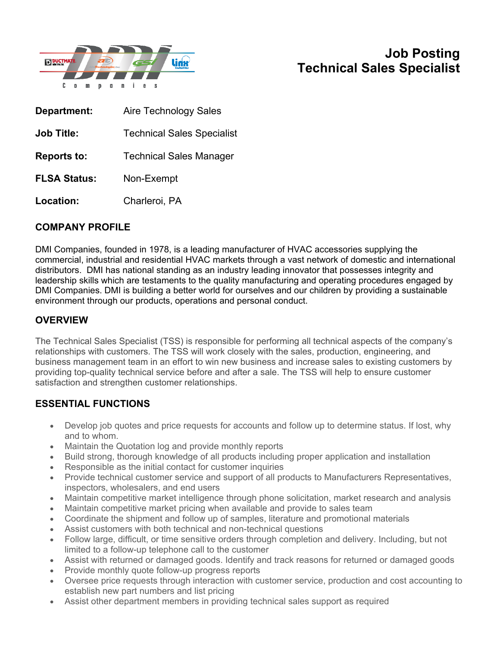

# **Job Posting Technical Sales Specialist**

| Department:         | <b>Aire Technology Sales</b>      |
|---------------------|-----------------------------------|
| <b>Job Title:</b>   | <b>Technical Sales Specialist</b> |
| <b>Reports to:</b>  | <b>Technical Sales Manager</b>    |
| <b>FLSA Status:</b> | Non-Exempt                        |
| Location:           | Charleroi, PA                     |

### **COMPANY PROFILE**

DMI Companies, founded in 1978, is a leading manufacturer of HVAC accessories supplying the commercial, industrial and residential HVAC markets through a vast network of domestic and international distributors. DMI has national standing as an industry leading innovator that possesses integrity and leadership skills which are testaments to the quality manufacturing and operating procedures engaged by DMI Companies. DMI is building a better world for ourselves and our children by providing a sustainable environment through our products, operations and personal conduct.

## **OVERVIEW**

The Technical Sales Specialist (TSS) is responsible for performing all technical aspects of the company's relationships with customers. The TSS will work closely with the sales, production, engineering, and business management team in an effort to win new business and increase sales to existing customers by providing top-quality technical service before and after a sale. The TSS will help to ensure customer satisfaction and strengthen customer relationships.

### **ESSENTIAL FUNCTIONS**

- Develop job quotes and price requests for accounts and follow up to determine status. If lost, why and to whom.
- Maintain the Quotation log and provide monthly reports
- Build strong, thorough knowledge of all products including proper application and installation
- Responsible as the initial contact for customer inquiries
- Provide technical customer service and support of all products to Manufacturers Representatives, inspectors, wholesalers, and end users
- Maintain competitive market intelligence through phone solicitation, market research and analysis
- Maintain competitive market pricing when available and provide to sales team
- Coordinate the shipment and follow up of samples, literature and promotional materials
- Assist customers with both technical and non-technical questions
- Follow large, difficult, or time sensitive orders through completion and delivery. Including, but not limited to a follow-up telephone call to the customer
- Assist with returned or damaged goods. Identify and track reasons for returned or damaged goods
- Provide monthly quote follow-up progress reports
- Oversee price requests through interaction with customer service, production and cost accounting to establish new part numbers and list pricing
- Assist other department members in providing technical sales support as required